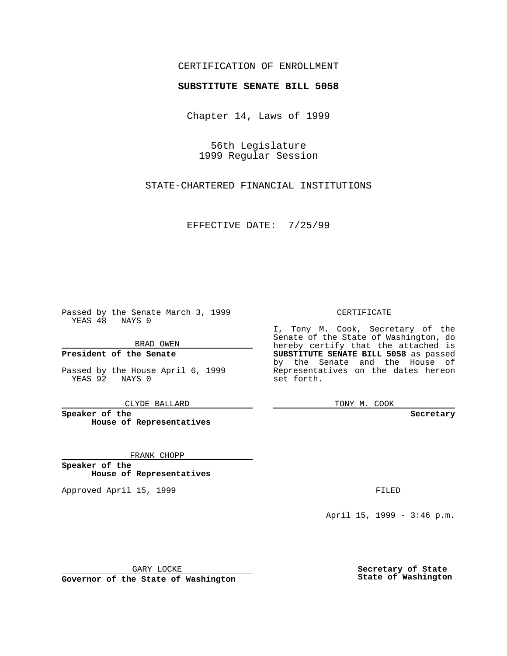### CERTIFICATION OF ENROLLMENT

# **SUBSTITUTE SENATE BILL 5058**

Chapter 14, Laws of 1999

56th Legislature 1999 Regular Session

STATE-CHARTERED FINANCIAL INSTITUTIONS

EFFECTIVE DATE: 7/25/99

Passed by the Senate March 3, 1999 YEAS 48 NAYS 0

BRAD OWEN

**President of the Senate**

Passed by the House April 6, 1999 YEAS 92 NAYS 0

CLYDE BALLARD

**Speaker of the House of Representatives**

FRANK CHOPP

**Speaker of the House of Representatives**

Approved April 15, 1999 **FILED** 

### CERTIFICATE

I, Tony M. Cook, Secretary of the Senate of the State of Washington, do hereby certify that the attached is **SUBSTITUTE SENATE BILL 5058** as passed by the Senate and the House of Representatives on the dates hereon set forth.

TONY M. COOK

#### **Secretary**

April 15, 1999 - 3:46 p.m.

GARY LOCKE

**Governor of the State of Washington**

**Secretary of State State of Washington**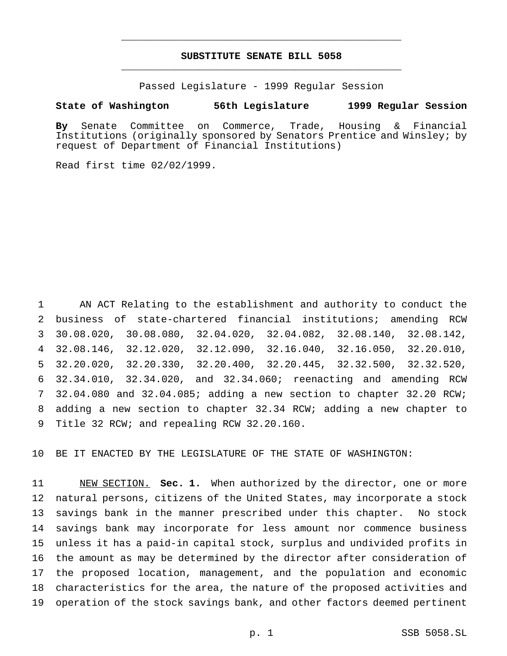## **SUBSTITUTE SENATE BILL 5058** \_\_\_\_\_\_\_\_\_\_\_\_\_\_\_\_\_\_\_\_\_\_\_\_\_\_\_\_\_\_\_\_\_\_\_\_\_\_\_\_\_\_\_\_\_\_\_

\_\_\_\_\_\_\_\_\_\_\_\_\_\_\_\_\_\_\_\_\_\_\_\_\_\_\_\_\_\_\_\_\_\_\_\_\_\_\_\_\_\_\_\_\_\_\_

Passed Legislature - 1999 Regular Session

### **State of Washington 56th Legislature 1999 Regular Session**

**By** Senate Committee on Commerce, Trade, Housing & Financial Institutions (originally sponsored by Senators Prentice and Winsley; by request of Department of Financial Institutions)

Read first time 02/02/1999.

 AN ACT Relating to the establishment and authority to conduct the business of state-chartered financial institutions; amending RCW 30.08.020, 30.08.080, 32.04.020, 32.04.082, 32.08.140, 32.08.142, 32.08.146, 32.12.020, 32.12.090, 32.16.040, 32.16.050, 32.20.010, 32.20.020, 32.20.330, 32.20.400, 32.20.445, 32.32.500, 32.32.520, 32.34.010, 32.34.020, and 32.34.060; reenacting and amending RCW 32.04.080 and 32.04.085; adding a new section to chapter 32.20 RCW; adding a new section to chapter 32.34 RCW; adding a new chapter to Title 32 RCW; and repealing RCW 32.20.160.

BE IT ENACTED BY THE LEGISLATURE OF THE STATE OF WASHINGTON:

 NEW SECTION. **Sec. 1.** When authorized by the director, one or more natural persons, citizens of the United States, may incorporate a stock savings bank in the manner prescribed under this chapter. No stock savings bank may incorporate for less amount nor commence business unless it has a paid-in capital stock, surplus and undivided profits in the amount as may be determined by the director after consideration of the proposed location, management, and the population and economic characteristics for the area, the nature of the proposed activities and operation of the stock savings bank, and other factors deemed pertinent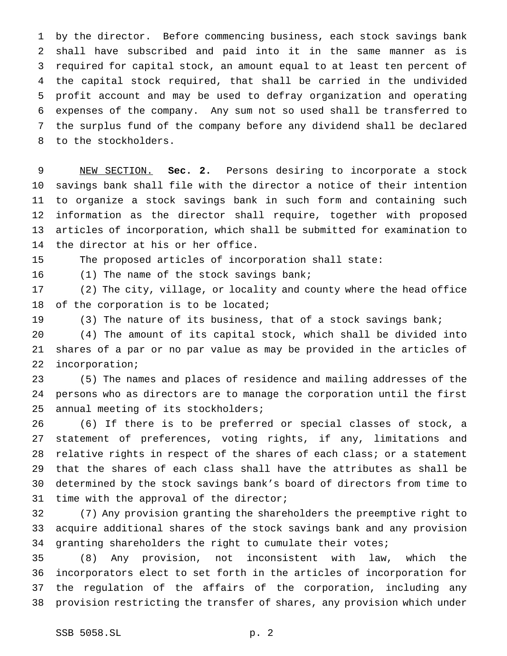by the director. Before commencing business, each stock savings bank shall have subscribed and paid into it in the same manner as is required for capital stock, an amount equal to at least ten percent of the capital stock required, that shall be carried in the undivided profit account and may be used to defray organization and operating expenses of the company. Any sum not so used shall be transferred to the surplus fund of the company before any dividend shall be declared to the stockholders.

 NEW SECTION. **Sec. 2.** Persons desiring to incorporate a stock savings bank shall file with the director a notice of their intention to organize a stock savings bank in such form and containing such information as the director shall require, together with proposed articles of incorporation, which shall be submitted for examination to the director at his or her office.

The proposed articles of incorporation shall state:

(1) The name of the stock savings bank;

 (2) The city, village, or locality and county where the head office 18 of the corporation is to be located;

(3) The nature of its business, that of a stock savings bank;

 (4) The amount of its capital stock, which shall be divided into shares of a par or no par value as may be provided in the articles of incorporation;

 (5) The names and places of residence and mailing addresses of the persons who as directors are to manage the corporation until the first annual meeting of its stockholders;

 (6) If there is to be preferred or special classes of stock, a statement of preferences, voting rights, if any, limitations and 28 relative rights in respect of the shares of each class; or a statement that the shares of each class shall have the attributes as shall be determined by the stock savings bank's board of directors from time to time with the approval of the director;

 (7) Any provision granting the shareholders the preemptive right to acquire additional shares of the stock savings bank and any provision granting shareholders the right to cumulate their votes;

 (8) Any provision, not inconsistent with law, which the incorporators elect to set forth in the articles of incorporation for the regulation of the affairs of the corporation, including any provision restricting the transfer of shares, any provision which under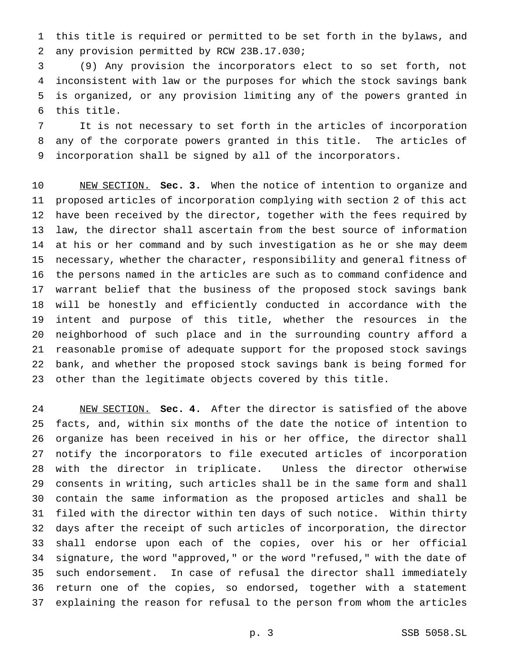this title is required or permitted to be set forth in the bylaws, and any provision permitted by RCW 23B.17.030;

 (9) Any provision the incorporators elect to so set forth, not inconsistent with law or the purposes for which the stock savings bank is organized, or any provision limiting any of the powers granted in this title.

 It is not necessary to set forth in the articles of incorporation any of the corporate powers granted in this title. The articles of incorporation shall be signed by all of the incorporators.

 NEW SECTION. **Sec. 3.** When the notice of intention to organize and proposed articles of incorporation complying with section 2 of this act have been received by the director, together with the fees required by law, the director shall ascertain from the best source of information at his or her command and by such investigation as he or she may deem necessary, whether the character, responsibility and general fitness of the persons named in the articles are such as to command confidence and warrant belief that the business of the proposed stock savings bank will be honestly and efficiently conducted in accordance with the intent and purpose of this title, whether the resources in the neighborhood of such place and in the surrounding country afford a reasonable promise of adequate support for the proposed stock savings bank, and whether the proposed stock savings bank is being formed for other than the legitimate objects covered by this title.

 NEW SECTION. **Sec. 4.** After the director is satisfied of the above facts, and, within six months of the date the notice of intention to organize has been received in his or her office, the director shall notify the incorporators to file executed articles of incorporation with the director in triplicate. Unless the director otherwise consents in writing, such articles shall be in the same form and shall contain the same information as the proposed articles and shall be filed with the director within ten days of such notice. Within thirty days after the receipt of such articles of incorporation, the director shall endorse upon each of the copies, over his or her official signature, the word "approved," or the word "refused," with the date of such endorsement. In case of refusal the director shall immediately return one of the copies, so endorsed, together with a statement explaining the reason for refusal to the person from whom the articles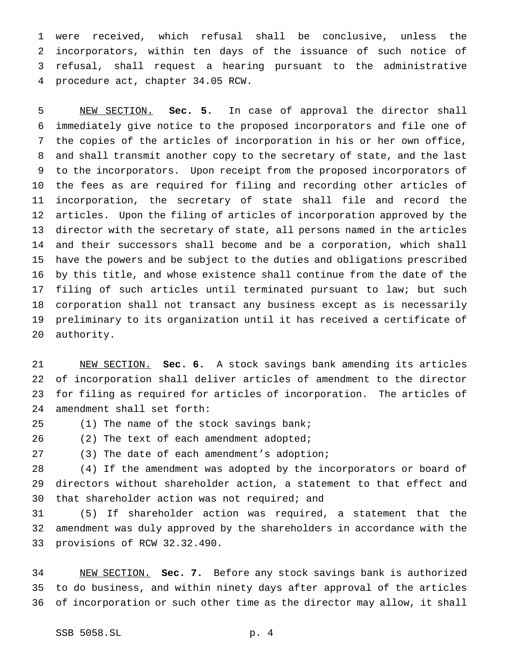were received, which refusal shall be conclusive, unless the incorporators, within ten days of the issuance of such notice of refusal, shall request a hearing pursuant to the administrative procedure act, chapter 34.05 RCW.

 NEW SECTION. **Sec. 5.** In case of approval the director shall immediately give notice to the proposed incorporators and file one of the copies of the articles of incorporation in his or her own office, and shall transmit another copy to the secretary of state, and the last to the incorporators. Upon receipt from the proposed incorporators of the fees as are required for filing and recording other articles of incorporation, the secretary of state shall file and record the articles. Upon the filing of articles of incorporation approved by the director with the secretary of state, all persons named in the articles and their successors shall become and be a corporation, which shall have the powers and be subject to the duties and obligations prescribed by this title, and whose existence shall continue from the date of the filing of such articles until terminated pursuant to law; but such corporation shall not transact any business except as is necessarily preliminary to its organization until it has received a certificate of authority.

 NEW SECTION. **Sec. 6.** A stock savings bank amending its articles of incorporation shall deliver articles of amendment to the director for filing as required for articles of incorporation. The articles of amendment shall set forth:

25 (1) The name of the stock savings bank;

26 (2) The text of each amendment adopted;

(3) The date of each amendment's adoption;

 (4) If the amendment was adopted by the incorporators or board of directors without shareholder action, a statement to that effect and 30 that shareholder action was not required; and

 (5) If shareholder action was required, a statement that the amendment was duly approved by the shareholders in accordance with the provisions of RCW 32.32.490.

 NEW SECTION. **Sec. 7.** Before any stock savings bank is authorized to do business, and within ninety days after approval of the articles of incorporation or such other time as the director may allow, it shall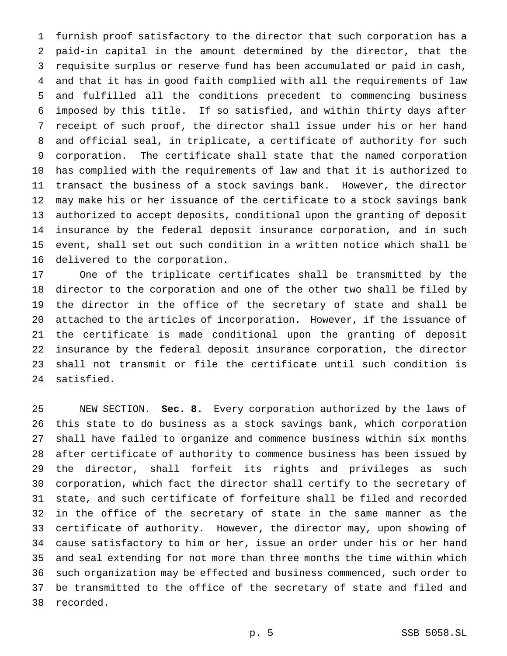furnish proof satisfactory to the director that such corporation has a paid-in capital in the amount determined by the director, that the requisite surplus or reserve fund has been accumulated or paid in cash, and that it has in good faith complied with all the requirements of law and fulfilled all the conditions precedent to commencing business imposed by this title. If so satisfied, and within thirty days after receipt of such proof, the director shall issue under his or her hand and official seal, in triplicate, a certificate of authority for such corporation. The certificate shall state that the named corporation has complied with the requirements of law and that it is authorized to transact the business of a stock savings bank. However, the director may make his or her issuance of the certificate to a stock savings bank authorized to accept deposits, conditional upon the granting of deposit insurance by the federal deposit insurance corporation, and in such event, shall set out such condition in a written notice which shall be delivered to the corporation.

 One of the triplicate certificates shall be transmitted by the director to the corporation and one of the other two shall be filed by the director in the office of the secretary of state and shall be attached to the articles of incorporation. However, if the issuance of the certificate is made conditional upon the granting of deposit insurance by the federal deposit insurance corporation, the director shall not transmit or file the certificate until such condition is satisfied.

 NEW SECTION. **Sec. 8.** Every corporation authorized by the laws of this state to do business as a stock savings bank, which corporation shall have failed to organize and commence business within six months after certificate of authority to commence business has been issued by the director, shall forfeit its rights and privileges as such corporation, which fact the director shall certify to the secretary of state, and such certificate of forfeiture shall be filed and recorded in the office of the secretary of state in the same manner as the certificate of authority. However, the director may, upon showing of cause satisfactory to him or her, issue an order under his or her hand and seal extending for not more than three months the time within which such organization may be effected and business commenced, such order to be transmitted to the office of the secretary of state and filed and recorded.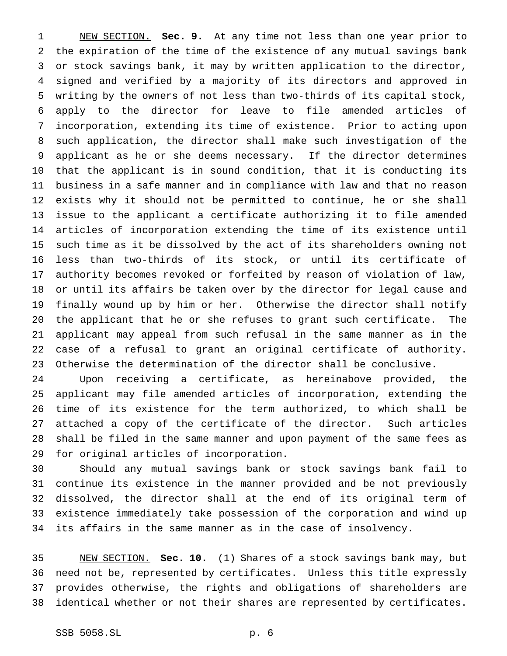NEW SECTION. **Sec. 9.** At any time not less than one year prior to the expiration of the time of the existence of any mutual savings bank or stock savings bank, it may by written application to the director, signed and verified by a majority of its directors and approved in writing by the owners of not less than two-thirds of its capital stock, apply to the director for leave to file amended articles of incorporation, extending its time of existence. Prior to acting upon such application, the director shall make such investigation of the applicant as he or she deems necessary. If the director determines that the applicant is in sound condition, that it is conducting its business in a safe manner and in compliance with law and that no reason exists why it should not be permitted to continue, he or she shall issue to the applicant a certificate authorizing it to file amended articles of incorporation extending the time of its existence until such time as it be dissolved by the act of its shareholders owning not less than two-thirds of its stock, or until its certificate of authority becomes revoked or forfeited by reason of violation of law, or until its affairs be taken over by the director for legal cause and finally wound up by him or her. Otherwise the director shall notify the applicant that he or she refuses to grant such certificate. The applicant may appeal from such refusal in the same manner as in the case of a refusal to grant an original certificate of authority. Otherwise the determination of the director shall be conclusive.

 Upon receiving a certificate, as hereinabove provided, the applicant may file amended articles of incorporation, extending the time of its existence for the term authorized, to which shall be attached a copy of the certificate of the director. Such articles shall be filed in the same manner and upon payment of the same fees as for original articles of incorporation.

 Should any mutual savings bank or stock savings bank fail to continue its existence in the manner provided and be not previously dissolved, the director shall at the end of its original term of existence immediately take possession of the corporation and wind up its affairs in the same manner as in the case of insolvency.

 NEW SECTION. **Sec. 10.** (1) Shares of a stock savings bank may, but need not be, represented by certificates. Unless this title expressly provides otherwise, the rights and obligations of shareholders are identical whether or not their shares are represented by certificates.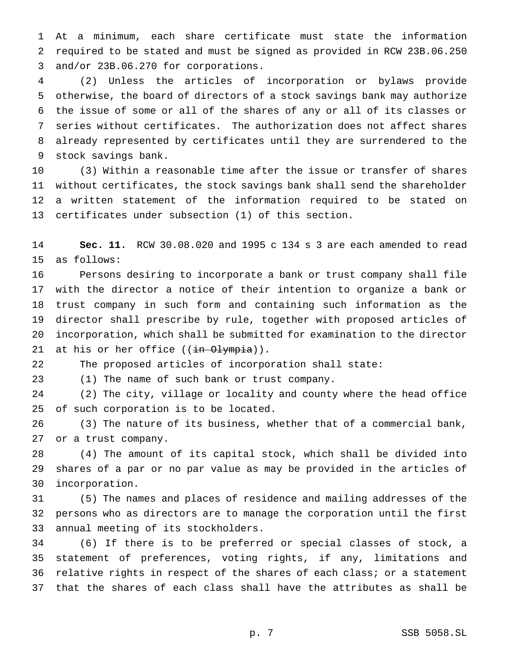At a minimum, each share certificate must state the information required to be stated and must be signed as provided in RCW 23B.06.250 and/or 23B.06.270 for corporations.

 (2) Unless the articles of incorporation or bylaws provide otherwise, the board of directors of a stock savings bank may authorize the issue of some or all of the shares of any or all of its classes or series without certificates. The authorization does not affect shares already represented by certificates until they are surrendered to the stock savings bank.

 (3) Within a reasonable time after the issue or transfer of shares without certificates, the stock savings bank shall send the shareholder a written statement of the information required to be stated on certificates under subsection (1) of this section.

 **Sec. 11.** RCW 30.08.020 and 1995 c 134 s 3 are each amended to read as follows:

 Persons desiring to incorporate a bank or trust company shall file with the director a notice of their intention to organize a bank or trust company in such form and containing such information as the director shall prescribe by rule, together with proposed articles of incorporation, which shall be submitted for examination to the director 21 at his or her office  $((\frac{in}{n-1}, \frac{min}{n})$ .

The proposed articles of incorporation shall state:

(1) The name of such bank or trust company.

 (2) The city, village or locality and county where the head office of such corporation is to be located.

 (3) The nature of its business, whether that of a commercial bank, or a trust company.

 (4) The amount of its capital stock, which shall be divided into shares of a par or no par value as may be provided in the articles of incorporation.

 (5) The names and places of residence and mailing addresses of the persons who as directors are to manage the corporation until the first annual meeting of its stockholders.

 (6) If there is to be preferred or special classes of stock, a statement of preferences, voting rights, if any, limitations and relative rights in respect of the shares of each class; or a statement that the shares of each class shall have the attributes as shall be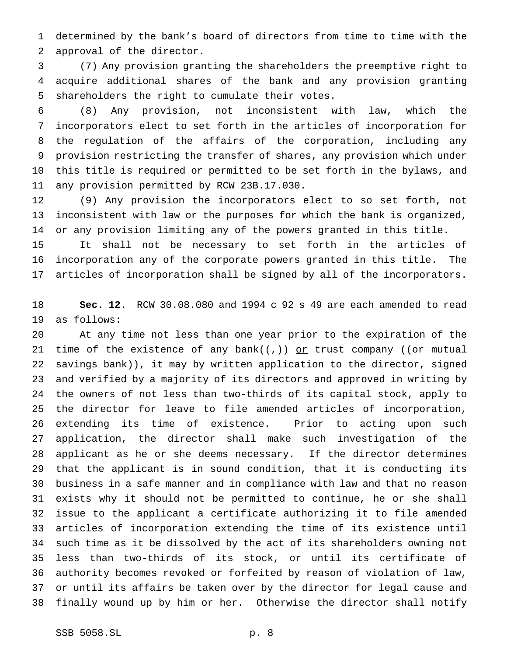determined by the bank's board of directors from time to time with the approval of the director.

 (7) Any provision granting the shareholders the preemptive right to acquire additional shares of the bank and any provision granting shareholders the right to cumulate their votes.

 (8) Any provision, not inconsistent with law, which the incorporators elect to set forth in the articles of incorporation for the regulation of the affairs of the corporation, including any provision restricting the transfer of shares, any provision which under this title is required or permitted to be set forth in the bylaws, and any provision permitted by RCW 23B.17.030.

 (9) Any provision the incorporators elect to so set forth, not inconsistent with law or the purposes for which the bank is organized, or any provision limiting any of the powers granted in this title.

 It shall not be necessary to set forth in the articles of incorporation any of the corporate powers granted in this title. The articles of incorporation shall be signed by all of the incorporators.

 **Sec. 12.** RCW 30.08.080 and 1994 c 92 s 49 are each amended to read as follows:

 At any time not less than one year prior to the expiration of the 21 time of the existence of any bank( $(\tau)$ ) or trust company ((or mutual 22 savings bank)), it may by written application to the director, signed and verified by a majority of its directors and approved in writing by the owners of not less than two-thirds of its capital stock, apply to the director for leave to file amended articles of incorporation, extending its time of existence. Prior to acting upon such application, the director shall make such investigation of the applicant as he or she deems necessary. If the director determines that the applicant is in sound condition, that it is conducting its business in a safe manner and in compliance with law and that no reason exists why it should not be permitted to continue, he or she shall issue to the applicant a certificate authorizing it to file amended articles of incorporation extending the time of its existence until such time as it be dissolved by the act of its shareholders owning not less than two-thirds of its stock, or until its certificate of authority becomes revoked or forfeited by reason of violation of law, or until its affairs be taken over by the director for legal cause and finally wound up by him or her. Otherwise the director shall notify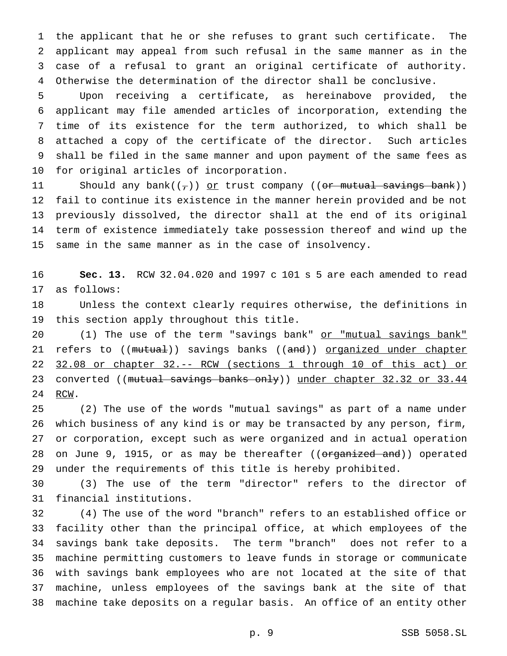the applicant that he or she refuses to grant such certificate. The applicant may appeal from such refusal in the same manner as in the case of a refusal to grant an original certificate of authority. Otherwise the determination of the director shall be conclusive.

 Upon receiving a certificate, as hereinabove provided, the applicant may file amended articles of incorporation, extending the time of its existence for the term authorized, to which shall be attached a copy of the certificate of the director. Such articles shall be filed in the same manner and upon payment of the same fees as for original articles of incorporation.

11 Should any bank $((\tau))$  or trust company ((or mutual savings bank)) fail to continue its existence in the manner herein provided and be not previously dissolved, the director shall at the end of its original term of existence immediately take possession thereof and wind up the same in the same manner as in the case of insolvency.

 **Sec. 13.** RCW 32.04.020 and 1997 c 101 s 5 are each amended to read as follows:

 Unless the context clearly requires otherwise, the definitions in this section apply throughout this title.

20 (1) The use of the term "savings bank" or "mutual savings bank" 21 refers to ((mutual)) savings banks ((and)) organized under chapter 32.08 or chapter 32.-- RCW (sections 1 through 10 of this act) or 23 converted ((mutual savings banks only)) under chapter 32.32 or 33.44 24 RCW.

 (2) The use of the words "mutual savings" as part of a name under which business of any kind is or may be transacted by any person, firm, or corporation, except such as were organized and in actual operation 28 on June 9, 1915, or as may be thereafter ((organized and)) operated under the requirements of this title is hereby prohibited.

 (3) The use of the term "director" refers to the director of financial institutions.

 (4) The use of the word "branch" refers to an established office or facility other than the principal office, at which employees of the savings bank take deposits. The term "branch" does not refer to a machine permitting customers to leave funds in storage or communicate with savings bank employees who are not located at the site of that machine, unless employees of the savings bank at the site of that machine take deposits on a regular basis. An office of an entity other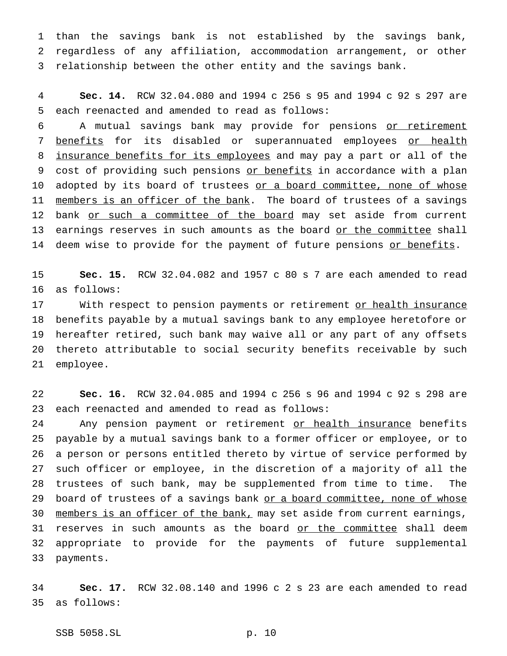1 than the savings bank is not established by the savings bank, 2 regardless of any affiliation, accommodation arrangement, or other 3 relationship between the other entity and the savings bank.

4 **Sec. 14.** RCW 32.04.080 and 1994 c 256 s 95 and 1994 c 92 s 297 are 5 each reenacted and amended to read as follows:

6 A mutual savings bank may provide for pensions or retirement 7 benefits for its disabled or superannuated employees or health 8 insurance benefits for its employees and may pay a part or all of the 9 cost of providing such pensions or benefits in accordance with a plan 10 adopted by its board of trustees or a board committee, none of whose 11 members is an officer of the bank. The board of trustees of a savings 12 bank or such a committee of the board may set aside from current 13 earnings reserves in such amounts as the board or the committee shall 14 deem wise to provide for the payment of future pensions or benefits.

15 **Sec. 15.** RCW 32.04.082 and 1957 c 80 s 7 are each amended to read 16 as follows:

17 With respect to pension payments or retirement or health insurance benefits payable by a mutual savings bank to any employee heretofore or hereafter retired, such bank may waive all or any part of any offsets thereto attributable to social security benefits receivable by such employee.

22 **Sec. 16.** RCW 32.04.085 and 1994 c 256 s 96 and 1994 c 92 s 298 are 23 each reenacted and amended to read as follows:

24 Any pension payment or retirement or health insurance benefits 25 payable by a mutual savings bank to a former officer or employee, or to 26 a person or persons entitled thereto by virtue of service performed by 27 such officer or employee, in the discretion of a majority of all the 28 trustees of such bank, may be supplemented from time to time. The 29 board of trustees of a savings bank or a board committee, none of whose 30 members is an officer of the bank, may set aside from current earnings, 31 reserves in such amounts as the board or the committee shall deem 32 appropriate to provide for the payments of future supplemental 33 payments.

34 **Sec. 17.** RCW 32.08.140 and 1996 c 2 s 23 are each amended to read 35 as follows:

SSB 5058.SL p. 10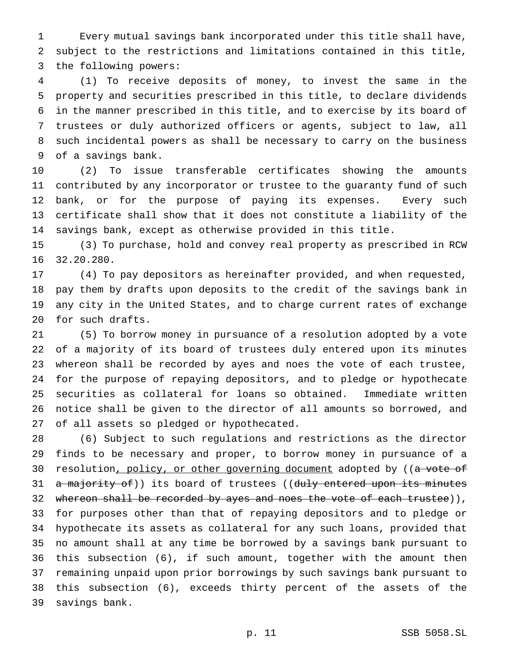Every mutual savings bank incorporated under this title shall have, subject to the restrictions and limitations contained in this title, the following powers:

 (1) To receive deposits of money, to invest the same in the property and securities prescribed in this title, to declare dividends in the manner prescribed in this title, and to exercise by its board of trustees or duly authorized officers or agents, subject to law, all such incidental powers as shall be necessary to carry on the business of a savings bank.

 (2) To issue transferable certificates showing the amounts contributed by any incorporator or trustee to the guaranty fund of such bank, or for the purpose of paying its expenses. Every such certificate shall show that it does not constitute a liability of the savings bank, except as otherwise provided in this title.

 (3) To purchase, hold and convey real property as prescribed in RCW 32.20.280.

 (4) To pay depositors as hereinafter provided, and when requested, pay them by drafts upon deposits to the credit of the savings bank in any city in the United States, and to charge current rates of exchange for such drafts.

 (5) To borrow money in pursuance of a resolution adopted by a vote of a majority of its board of trustees duly entered upon its minutes whereon shall be recorded by ayes and noes the vote of each trustee, for the purpose of repaying depositors, and to pledge or hypothecate securities as collateral for loans so obtained. Immediate written notice shall be given to the director of all amounts so borrowed, and of all assets so pledged or hypothecated.

 (6) Subject to such regulations and restrictions as the director finds to be necessary and proper, to borrow money in pursuance of a 30 resolution, policy, or other governing document adopted by ((a vote of 31 a majority of)) its board of trustees ((duly entered upon its minutes 32 whereon shall be recorded by ayes and noes the vote of each trustee)), for purposes other than that of repaying depositors and to pledge or hypothecate its assets as collateral for any such loans, provided that no amount shall at any time be borrowed by a savings bank pursuant to this subsection (6), if such amount, together with the amount then remaining unpaid upon prior borrowings by such savings bank pursuant to this subsection (6), exceeds thirty percent of the assets of the savings bank.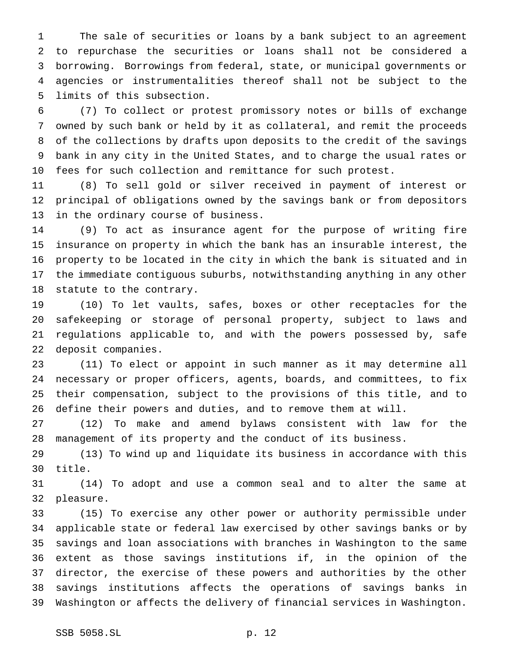The sale of securities or loans by a bank subject to an agreement to repurchase the securities or loans shall not be considered a borrowing. Borrowings from federal, state, or municipal governments or agencies or instrumentalities thereof shall not be subject to the limits of this subsection.

 (7) To collect or protest promissory notes or bills of exchange owned by such bank or held by it as collateral, and remit the proceeds of the collections by drafts upon deposits to the credit of the savings bank in any city in the United States, and to charge the usual rates or fees for such collection and remittance for such protest.

 (8) To sell gold or silver received in payment of interest or principal of obligations owned by the savings bank or from depositors in the ordinary course of business.

 (9) To act as insurance agent for the purpose of writing fire insurance on property in which the bank has an insurable interest, the property to be located in the city in which the bank is situated and in the immediate contiguous suburbs, notwithstanding anything in any other statute to the contrary.

 (10) To let vaults, safes, boxes or other receptacles for the safekeeping or storage of personal property, subject to laws and regulations applicable to, and with the powers possessed by, safe deposit companies.

 (11) To elect or appoint in such manner as it may determine all necessary or proper officers, agents, boards, and committees, to fix their compensation, subject to the provisions of this title, and to define their powers and duties, and to remove them at will.

 (12) To make and amend bylaws consistent with law for the management of its property and the conduct of its business.

 (13) To wind up and liquidate its business in accordance with this title.

 (14) To adopt and use a common seal and to alter the same at pleasure.

 (15) To exercise any other power or authority permissible under applicable state or federal law exercised by other savings banks or by savings and loan associations with branches in Washington to the same extent as those savings institutions if, in the opinion of the director, the exercise of these powers and authorities by the other savings institutions affects the operations of savings banks in Washington or affects the delivery of financial services in Washington.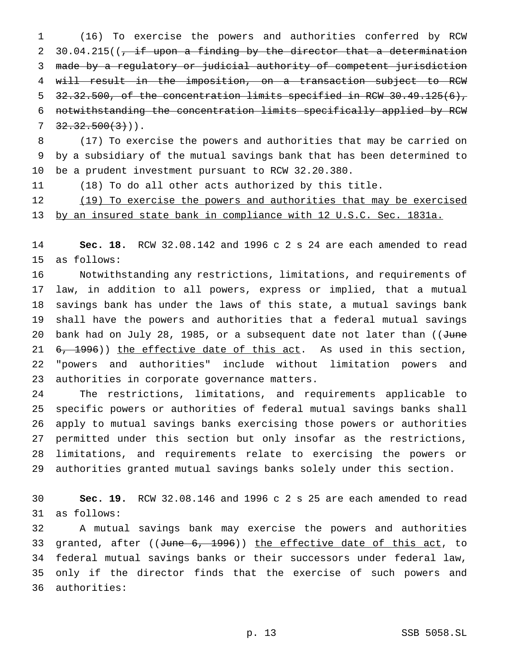(16) To exercise the powers and authorities conferred by RCW 2 30.04.215( $\frac{1}{t}$  if upon a finding by the director that a determination made by a regulatory or judicial authority of competent jurisdiction will result in the imposition, on a transaction subject to RCW 32.32.500, of the concentration limits specified in RCW 30.49.125(6), notwithstanding the concentration limits specifically applied by RCW  $7 \quad 32.32.500(3)$ ).

 (17) To exercise the powers and authorities that may be carried on by a subsidiary of the mutual savings bank that has been determined to be a prudent investment pursuant to RCW 32.20.380.

(18) To do all other acts authorized by this title.

12 (19) To exercise the powers and authorities that may be exercised by an insured state bank in compliance with 12 U.S.C. Sec. 1831a.

 **Sec. 18.** RCW 32.08.142 and 1996 c 2 s 24 are each amended to read as follows:

 Notwithstanding any restrictions, limitations, and requirements of law, in addition to all powers, express or implied, that a mutual savings bank has under the laws of this state, a mutual savings bank shall have the powers and authorities that a federal mutual savings 20 bank had on July 28, 1985, or a subsequent date not later than ((June 21 6, 1996)) the effective date of this act. As used in this section, "powers and authorities" include without limitation powers and authorities in corporate governance matters.

 The restrictions, limitations, and requirements applicable to specific powers or authorities of federal mutual savings banks shall apply to mutual savings banks exercising those powers or authorities permitted under this section but only insofar as the restrictions, limitations, and requirements relate to exercising the powers or authorities granted mutual savings banks solely under this section.

 **Sec. 19.** RCW 32.08.146 and 1996 c 2 s 25 are each amended to read as follows:

 A mutual savings bank may exercise the powers and authorities 33 granted, after  $((\text{June } 6, 1996))$  the effective date of this act, to federal mutual savings banks or their successors under federal law, only if the director finds that the exercise of such powers and authorities: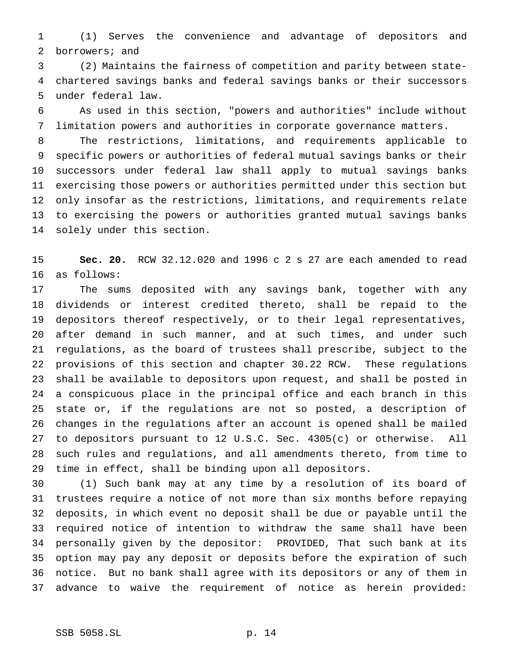(1) Serves the convenience and advantage of depositors and borrowers; and

 (2) Maintains the fairness of competition and parity between state- chartered savings banks and federal savings banks or their successors under federal law.

 As used in this section, "powers and authorities" include without limitation powers and authorities in corporate governance matters.

 The restrictions, limitations, and requirements applicable to specific powers or authorities of federal mutual savings banks or their successors under federal law shall apply to mutual savings banks exercising those powers or authorities permitted under this section but only insofar as the restrictions, limitations, and requirements relate to exercising the powers or authorities granted mutual savings banks solely under this section.

 **Sec. 20.** RCW 32.12.020 and 1996 c 2 s 27 are each amended to read as follows:

 The sums deposited with any savings bank, together with any dividends or interest credited thereto, shall be repaid to the depositors thereof respectively, or to their legal representatives, after demand in such manner, and at such times, and under such regulations, as the board of trustees shall prescribe, subject to the provisions of this section and chapter 30.22 RCW. These regulations shall be available to depositors upon request, and shall be posted in a conspicuous place in the principal office and each branch in this state or, if the regulations are not so posted, a description of changes in the regulations after an account is opened shall be mailed to depositors pursuant to 12 U.S.C. Sec. 4305(c) or otherwise. All such rules and regulations, and all amendments thereto, from time to time in effect, shall be binding upon all depositors.

 (1) Such bank may at any time by a resolution of its board of trustees require a notice of not more than six months before repaying deposits, in which event no deposit shall be due or payable until the required notice of intention to withdraw the same shall have been personally given by the depositor: PROVIDED, That such bank at its option may pay any deposit or deposits before the expiration of such notice. But no bank shall agree with its depositors or any of them in advance to waive the requirement of notice as herein provided: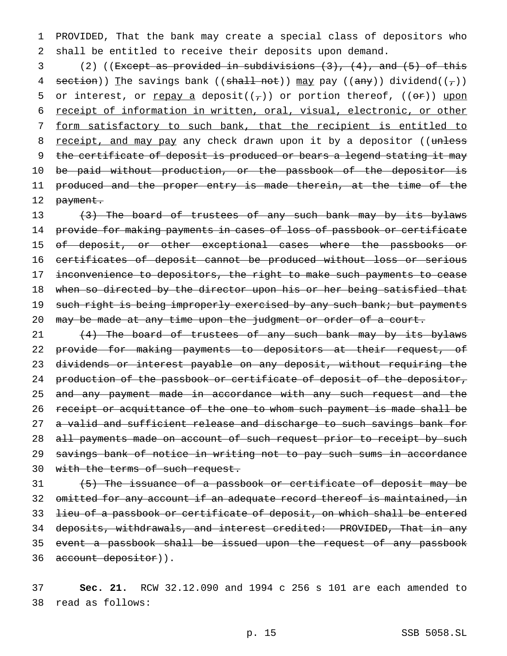1 PROVIDED, That the bank may create a special class of depositors who 2 shall be entitled to receive their deposits upon demand.

3 (2) ((Except as provided in subdivisions (3), (4), and (5) of this 4 section)) The savings bank ((shall not)) may pay ((any)) dividend( $(\tau)$ ) 5 or interest, or repay a deposit( $(\tau)$ ) or portion thereof, ( $(\theta \hat{r})$ ) upon 6 receipt of information in written, oral, visual, electronic, or other 7 form satisfactory to such bank, that the recipient is entitled to 8 receipt, and may pay any check drawn upon it by a depositor ((unless 9 the certificate of deposit is produced or bears a legend stating it may 10 be paid without production, or the passbook of the depositor is 11 produced and the proper entry is made therein, at the time of the 12 payment.

13 (3) The board of trustees of any such bank may by its bylaws 14 provide for making payments in cases of loss of passbook or certificate 15 of deposit, or other exceptional cases where the passbooks or 16 certificates of deposit cannot be produced without loss or serious 17 inconvenience to depositors, the right to make such payments to cease 18 when so directed by the director upon his or her being satisfied that 19 such right is being improperly exercised by any such bank; but payments 20 may be made at any time upon the judgment or order of a court.

21  $(4)$  The board of trustees of any such bank may by its bylaws 22 provide for making payments to depositors at their request, of 23 dividends or interest payable on any deposit, without requiring the 24 production of the passbook or certificate of deposit of the depositor, 25 and any payment made in accordance with any such request and the 26 receipt or acquittance of the one to whom such payment is made shall be 27 a valid and sufficient release and discharge to such savings bank for 28 all payments made on account of such request prior to receipt by such 29 savings bank of notice in writing not to pay such sums in accordance 30 with the terms of such request.

 (5) The issuance of a passbook or certificate of deposit may be 32 omitted for any account if an adequate record thereof is maintained, in lieu of a passbook or certificate of deposit, on which shall be entered deposits, withdrawals, and interest credited: PROVIDED, That in any event a passbook shall be issued upon the request of any passbook 36 account depositor)).

37 **Sec. 21.** RCW 32.12.090 and 1994 c 256 s 101 are each amended to 38 read as follows: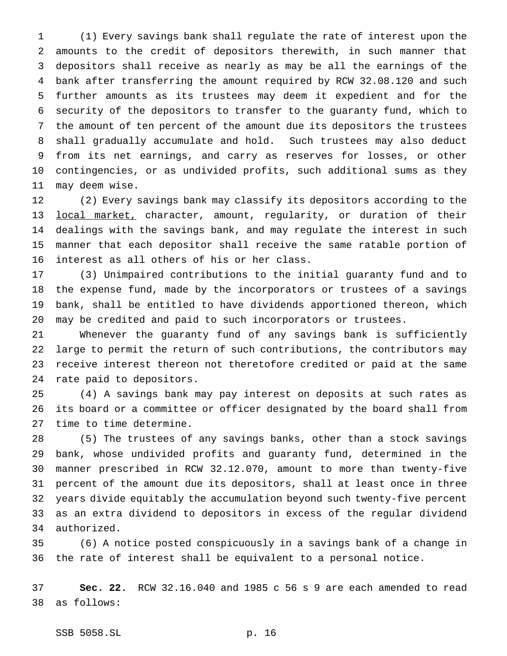(1) Every savings bank shall regulate the rate of interest upon the amounts to the credit of depositors therewith, in such manner that depositors shall receive as nearly as may be all the earnings of the bank after transferring the amount required by RCW 32.08.120 and such further amounts as its trustees may deem it expedient and for the security of the depositors to transfer to the guaranty fund, which to the amount of ten percent of the amount due its depositors the trustees shall gradually accumulate and hold. Such trustees may also deduct from its net earnings, and carry as reserves for losses, or other contingencies, or as undivided profits, such additional sums as they may deem wise.

 (2) Every savings bank may classify its depositors according to the 13 local market, character, amount, regularity, or duration of their dealings with the savings bank, and may regulate the interest in such manner that each depositor shall receive the same ratable portion of interest as all others of his or her class.

 (3) Unimpaired contributions to the initial guaranty fund and to the expense fund, made by the incorporators or trustees of a savings bank, shall be entitled to have dividends apportioned thereon, which may be credited and paid to such incorporators or trustees.

 Whenever the guaranty fund of any savings bank is sufficiently large to permit the return of such contributions, the contributors may receive interest thereon not theretofore credited or paid at the same rate paid to depositors.

 (4) A savings bank may pay interest on deposits at such rates as its board or a committee or officer designated by the board shall from time to time determine.

 (5) The trustees of any savings banks, other than a stock savings bank, whose undivided profits and guaranty fund, determined in the manner prescribed in RCW 32.12.070, amount to more than twenty-five percent of the amount due its depositors, shall at least once in three years divide equitably the accumulation beyond such twenty-five percent as an extra dividend to depositors in excess of the regular dividend authorized.

 (6) A notice posted conspicuously in a savings bank of a change in the rate of interest shall be equivalent to a personal notice.

 **Sec. 22.** RCW 32.16.040 and 1985 c 56 s 9 are each amended to read as follows: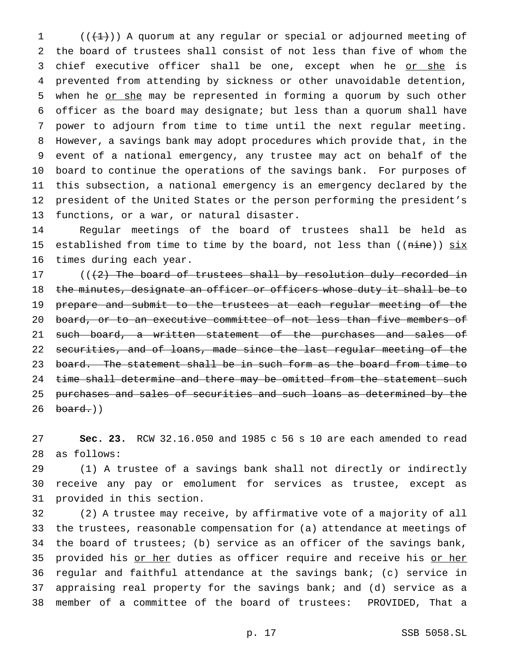$((+1))$  A quorum at any regular or special or adjourned meeting of the board of trustees shall consist of not less than five of whom the 3 chief executive officer shall be one, except when he or she is prevented from attending by sickness or other unavoidable detention, 5 when he or she may be represented in forming a quorum by such other officer as the board may designate; but less than a quorum shall have power to adjourn from time to time until the next regular meeting. However, a savings bank may adopt procedures which provide that, in the event of a national emergency, any trustee may act on behalf of the board to continue the operations of the savings bank. For purposes of this subsection, a national emergency is an emergency declared by the president of the United States or the person performing the president's functions, or a war, or natural disaster.

 Regular meetings of the board of trustees shall be held as 15 established from time to time by the board, not less than (( $nine$ ))  $six$ times during each year.

 $($   $($   $($   $+2)$  The board of trustees shall by resolution duly recorded in 18 the minutes, designate an officer or officers whose duty it shall be to prepare and submit to the trustees at each regular meeting of the 20 board, or to an executive committee of not less than five members of 21 such board, a written statement of the purchases and sales of securities, and of loans, made since the last regular meeting of the 23 board. The statement shall be in such form as the board from time to 24 time shall determine and there may be omitted from the statement such purchases and sales of securities and such loans as determined by the board.))

 **Sec. 23.** RCW 32.16.050 and 1985 c 56 s 10 are each amended to read as follows:

 (1) A trustee of a savings bank shall not directly or indirectly receive any pay or emolument for services as trustee, except as provided in this section.

 (2) A trustee may receive, by affirmative vote of a majority of all the trustees, reasonable compensation for (a) attendance at meetings of the board of trustees; (b) service as an officer of the savings bank, 35 provided his or her duties as officer require and receive his or her regular and faithful attendance at the savings bank; (c) service in appraising real property for the savings bank; and (d) service as a member of a committee of the board of trustees: PROVIDED, That a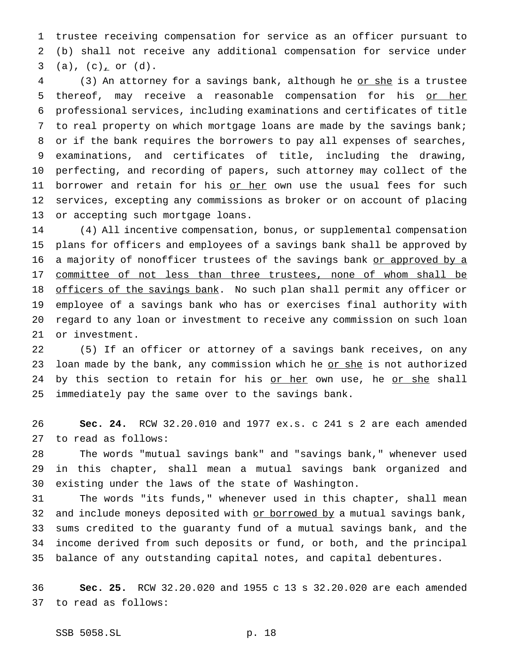trustee receiving compensation for service as an officer pursuant to (b) shall not receive any additional compensation for service under 3 (a),  $(c)$  or  $(d)$ .

4 (3) An attorney for a savings bank, although he or she is a trustee 5 thereof, may receive a reasonable compensation for his or her professional services, including examinations and certificates of title to real property on which mortgage loans are made by the savings bank; or if the bank requires the borrowers to pay all expenses of searches, examinations, and certificates of title, including the drawing, perfecting, and recording of papers, such attorney may collect of the 11 borrower and retain for his or her own use the usual fees for such services, excepting any commissions as broker or on account of placing or accepting such mortgage loans.

 (4) All incentive compensation, bonus, or supplemental compensation plans for officers and employees of a savings bank shall be approved by 16 a majority of nonofficer trustees of the savings bank or approved by a 17 committee of not less than three trustees, none of whom shall be 18 officers of the savings bank. No such plan shall permit any officer or employee of a savings bank who has or exercises final authority with regard to any loan or investment to receive any commission on such loan or investment.

 (5) If an officer or attorney of a savings bank receives, on any 23 loan made by the bank, any commission which he or she is not authorized 24 by this section to retain for his or her own use, he or she shall immediately pay the same over to the savings bank.

 **Sec. 24.** RCW 32.20.010 and 1977 ex.s. c 241 s 2 are each amended to read as follows:

 The words "mutual savings bank" and "savings bank," whenever used in this chapter, shall mean a mutual savings bank organized and existing under the laws of the state of Washington.

 The words "its funds," whenever used in this chapter, shall mean 32 and include moneys deposited with or borrowed by a mutual savings bank, sums credited to the guaranty fund of a mutual savings bank, and the income derived from such deposits or fund, or both, and the principal balance of any outstanding capital notes, and capital debentures.

 **Sec. 25.** RCW 32.20.020 and 1955 c 13 s 32.20.020 are each amended to read as follows: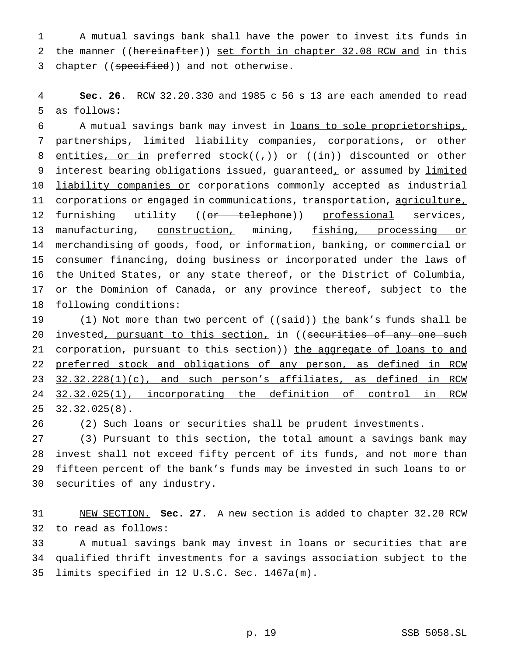1 A mutual savings bank shall have the power to invest its funds in 2 the manner ((hereinafter)) set forth in chapter 32.08 RCW and in this 3 chapter ((specified)) and not otherwise.

4 **Sec. 26.** RCW 32.20.330 and 1985 c 56 s 13 are each amended to read 5 as follows:

6 A mutual savings bank may invest in loans to sole proprietorships, 7 partnerships, limited liability companies, corporations, or other 8 entities, or in preferred stock( $(\tau)$ ) or ( $(\text{in})$ ) discounted or other 9 interest bearing obligations issued, guaranteed, or assumed by limited 10 <u>liability companies or</u> corporations commonly accepted as industrial 11 corporations or engaged in communications, transportation, agriculture, 12 furnishing utility ((or telephone)) professional services, 13 manufacturing, construction, mining, fishing, processing or 14 merchandising of goods, food, or information, banking, or commercial or 15 consumer financing, doing business or incorporated under the laws of 16 the United States, or any state thereof, or the District of Columbia, 17 or the Dominion of Canada, or any province thereof, subject to the 18 following conditions:

19 (1) Not more than two percent of ((said)) the bank's funds shall be 20 invested, pursuant to this section, in ((securities of any one such 21 corporation, pursuant to this section)) the aggregate of loans to and 22 preferred stock and obligations of any person, as defined in RCW 23 32.32.228(1)(c), and such person's affiliates, as defined in RCW 24 32.32.025(1), incorporating the definition of control in RCW 25 32.32.025(8).

26 (2) Such loans or securities shall be prudent investments.

 (3) Pursuant to this section, the total amount a savings bank may invest shall not exceed fifty percent of its funds, and not more than 29 fifteen percent of the bank's funds may be invested in such loans to or securities of any industry.

31 NEW SECTION. **Sec. 27.** A new section is added to chapter 32.20 RCW 32 to read as follows:

33 A mutual savings bank may invest in loans or securities that are 34 qualified thrift investments for a savings association subject to the 35 limits specified in 12 U.S.C. Sec. 1467a(m).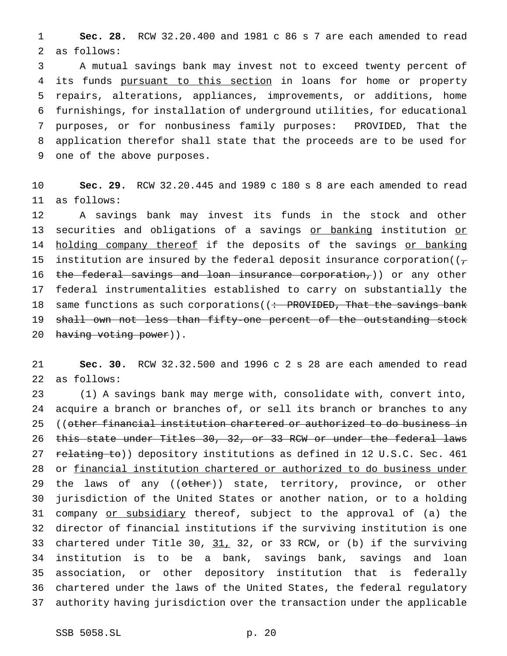**Sec. 28.** RCW 32.20.400 and 1981 c 86 s 7 are each amended to read as follows:

 A mutual savings bank may invest not to exceed twenty percent of 4 its funds pursuant to this section in loans for home or property repairs, alterations, appliances, improvements, or additions, home furnishings, for installation of underground utilities, for educational purposes, or for nonbusiness family purposes: PROVIDED, That the application therefor shall state that the proceeds are to be used for one of the above purposes.

 **Sec. 29.** RCW 32.20.445 and 1989 c 180 s 8 are each amended to read as follows:

 A savings bank may invest its funds in the stock and other 13 securities and obligations of a savings or banking institution or 14 holding company thereof if the deposits of the savings or banking 15 institution are insured by the federal deposit insurance corporation( $(\tau$ 16 the federal savings and loan insurance corporation,)) or any other federal instrumentalities established to carry on substantially the 18 same functions as such corporations ((: PROVIDED, That the savings bank shall own not less than fifty-one percent of the outstanding stock 20 having voting power)).

 **Sec. 30.** RCW 32.32.500 and 1996 c 2 s 28 are each amended to read as follows:

 (1) A savings bank may merge with, consolidate with, convert into, acquire a branch or branches of, or sell its branch or branches to any 25 ((other financial institution chartered or authorized to do business in this state under Titles 30, 32, or 33 RCW or under the federal laws 27 relating to)) depository institutions as defined in 12 U.S.C. Sec. 461 or financial institution chartered or authorized to do business under 29 the laws of any ((other)) state, territory, province, or other jurisdiction of the United States or another nation, or to a holding 31 company or subsidiary thereof, subject to the approval of (a) the director of financial institutions if the surviving institution is one 33 chartered under Title 30, 31, 32, or 33 RCW, or (b) if the surviving institution is to be a bank, savings bank, savings and loan association, or other depository institution that is federally chartered under the laws of the United States, the federal regulatory authority having jurisdiction over the transaction under the applicable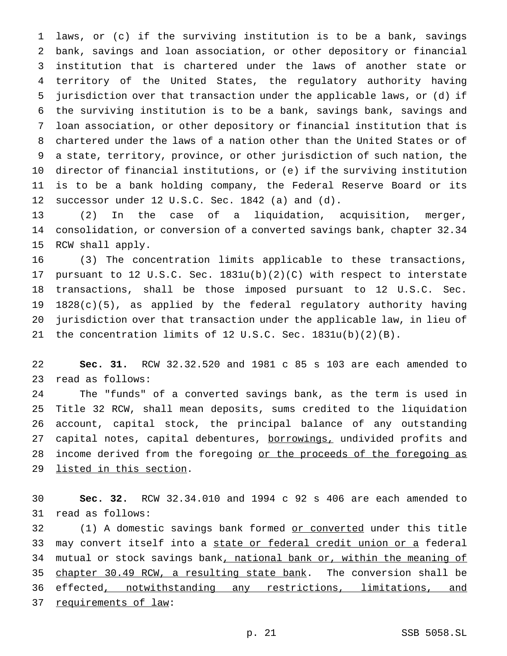laws, or (c) if the surviving institution is to be a bank, savings bank, savings and loan association, or other depository or financial institution that is chartered under the laws of another state or territory of the United States, the regulatory authority having jurisdiction over that transaction under the applicable laws, or (d) if the surviving institution is to be a bank, savings bank, savings and loan association, or other depository or financial institution that is chartered under the laws of a nation other than the United States or of a state, territory, province, or other jurisdiction of such nation, the director of financial institutions, or (e) if the surviving institution is to be a bank holding company, the Federal Reserve Board or its successor under 12 U.S.C. Sec. 1842 (a) and (d).

 (2) In the case of a liquidation, acquisition, merger, consolidation, or conversion of a converted savings bank, chapter 32.34 RCW shall apply.

 (3) The concentration limits applicable to these transactions, pursuant to 12 U.S.C. Sec. 1831u(b)(2)(C) with respect to interstate transactions, shall be those imposed pursuant to 12 U.S.C. Sec. 1828(c)(5), as applied by the federal regulatory authority having jurisdiction over that transaction under the applicable law, in lieu of the concentration limits of 12 U.S.C. Sec. 1831u(b)(2)(B).

 **Sec. 31.** RCW 32.32.520 and 1981 c 85 s 103 are each amended to read as follows:

 The "funds" of a converted savings bank, as the term is used in Title 32 RCW, shall mean deposits, sums credited to the liquidation account, capital stock, the principal balance of any outstanding 27 capital notes, capital debentures, borrowings, undivided profits and 28 income derived from the foregoing or the proceeds of the foregoing as listed in this section.

 **Sec. 32.** RCW 32.34.010 and 1994 c 92 s 406 are each amended to read as follows:

32 (1) A domestic savings bank formed or converted under this title may convert itself into a state or federal credit union or a federal 34 mutual or stock savings bank, national bank or, within the meaning of 35 chapter 30.49 RCW, a resulting state bank. The conversion shall be effected, notwithstanding any restrictions, limitations, and requirements of law: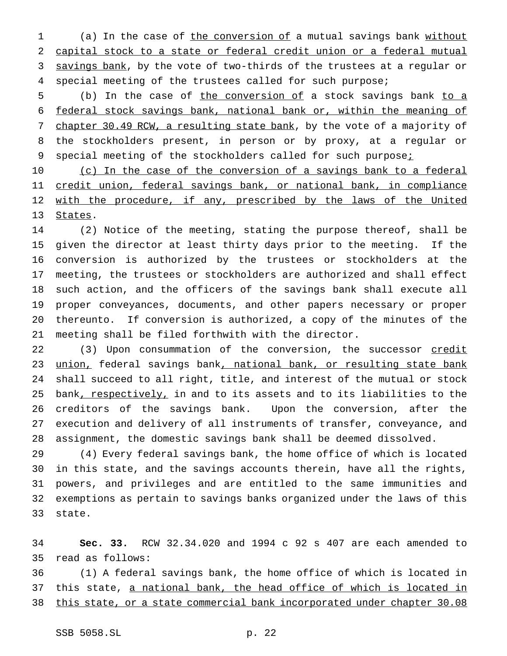1 (a) In the case of the conversion of a mutual savings bank without capital stock to a state or federal credit union or a federal mutual 3 savings bank, by the vote of two-thirds of the trustees at a regular or special meeting of the trustees called for such purpose;

5 (b) In the case of the conversion of a stock savings bank to a federal stock savings bank, national bank or, within the meaning of 7 chapter 30.49 RCW, a resulting state bank, by the vote of a majority of the stockholders present, in person or by proxy, at a regular or 9 special meeting of the stockholders called for such purpose<sub>i</sub>

10 (c) In the case of the conversion of a savings bank to a federal credit union, federal savings bank, or national bank, in compliance 12 with the procedure, if any, prescribed by the laws of the United 13 States.

 (2) Notice of the meeting, stating the purpose thereof, shall be given the director at least thirty days prior to the meeting. If the conversion is authorized by the trustees or stockholders at the meeting, the trustees or stockholders are authorized and shall effect such action, and the officers of the savings bank shall execute all proper conveyances, documents, and other papers necessary or proper thereunto. If conversion is authorized, a copy of the minutes of the meeting shall be filed forthwith with the director.

22 (3) Upon consummation of the conversion, the successor credit 23 union, federal savings bank, national bank, or resulting state bank shall succeed to all right, title, and interest of the mutual or stock 25 bank, respectively, in and to its assets and to its liabilities to the creditors of the savings bank. Upon the conversion, after the execution and delivery of all instruments of transfer, conveyance, and assignment, the domestic savings bank shall be deemed dissolved.

 (4) Every federal savings bank, the home office of which is located in this state, and the savings accounts therein, have all the rights, powers, and privileges and are entitled to the same immunities and exemptions as pertain to savings banks organized under the laws of this state.

 **Sec. 33.** RCW 32.34.020 and 1994 c 92 s 407 are each amended to read as follows:

 (1) A federal savings bank, the home office of which is located in this state, a national bank, the head office of which is located in this state, or a state commercial bank incorporated under chapter 30.08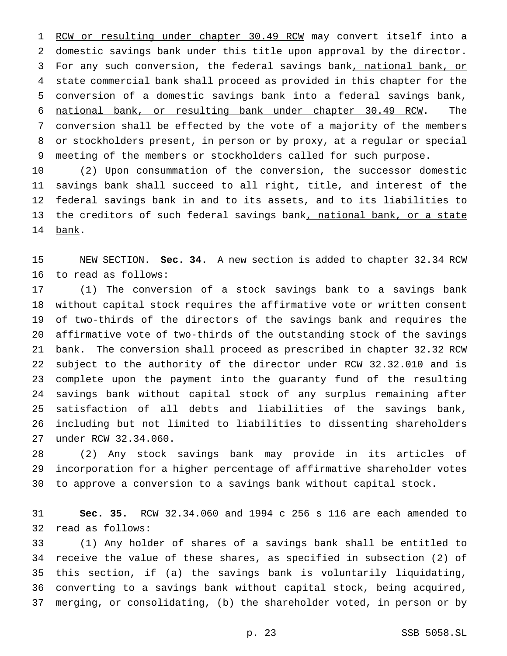1 RCW or resulting under chapter 30.49 RCW may convert itself into a domestic savings bank under this title upon approval by the director. 3 For any such conversion, the federal savings bank, national bank, or 4 state commercial bank shall proceed as provided in this chapter for the conversion of a domestic savings bank into a federal savings bank, national bank, or resulting bank under chapter 30.49 RCW. The conversion shall be effected by the vote of a majority of the members or stockholders present, in person or by proxy, at a regular or special meeting of the members or stockholders called for such purpose.

 (2) Upon consummation of the conversion, the successor domestic savings bank shall succeed to all right, title, and interest of the federal savings bank in and to its assets, and to its liabilities to 13 the creditors of such federal savings bank, national bank, or a state bank.

 NEW SECTION. **Sec. 34.** A new section is added to chapter 32.34 RCW to read as follows:

 (1) The conversion of a stock savings bank to a savings bank without capital stock requires the affirmative vote or written consent of two-thirds of the directors of the savings bank and requires the affirmative vote of two-thirds of the outstanding stock of the savings bank. The conversion shall proceed as prescribed in chapter 32.32 RCW subject to the authority of the director under RCW 32.32.010 and is complete upon the payment into the guaranty fund of the resulting savings bank without capital stock of any surplus remaining after satisfaction of all debts and liabilities of the savings bank, including but not limited to liabilities to dissenting shareholders under RCW 32.34.060.

 (2) Any stock savings bank may provide in its articles of incorporation for a higher percentage of affirmative shareholder votes to approve a conversion to a savings bank without capital stock.

 **Sec. 35.** RCW 32.34.060 and 1994 c 256 s 116 are each amended to read as follows:

 (1) Any holder of shares of a savings bank shall be entitled to receive the value of these shares, as specified in subsection (2) of this section, if (a) the savings bank is voluntarily liquidating, 36 converting to a savings bank without capital stock, being acquired, merging, or consolidating, (b) the shareholder voted, in person or by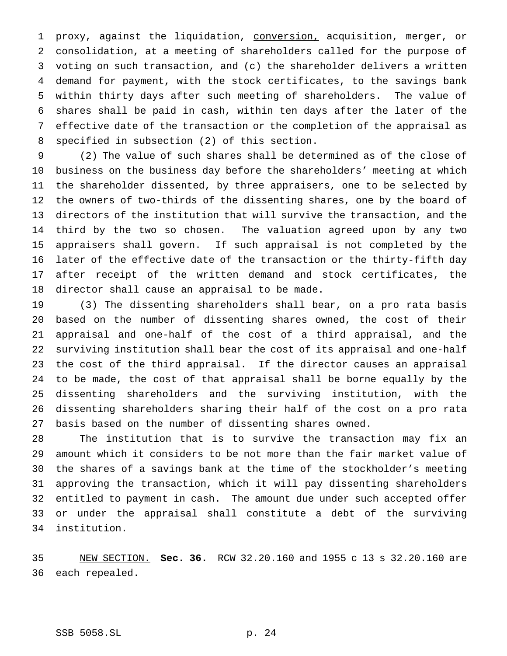proxy, against the liquidation, conversion, acquisition, merger, or consolidation, at a meeting of shareholders called for the purpose of voting on such transaction, and (c) the shareholder delivers a written demand for payment, with the stock certificates, to the savings bank within thirty days after such meeting of shareholders. The value of shares shall be paid in cash, within ten days after the later of the effective date of the transaction or the completion of the appraisal as specified in subsection (2) of this section.

 (2) The value of such shares shall be determined as of the close of business on the business day before the shareholders' meeting at which the shareholder dissented, by three appraisers, one to be selected by the owners of two-thirds of the dissenting shares, one by the board of directors of the institution that will survive the transaction, and the third by the two so chosen. The valuation agreed upon by any two appraisers shall govern. If such appraisal is not completed by the later of the effective date of the transaction or the thirty-fifth day after receipt of the written demand and stock certificates, the director shall cause an appraisal to be made.

 (3) The dissenting shareholders shall bear, on a pro rata basis based on the number of dissenting shares owned, the cost of their appraisal and one-half of the cost of a third appraisal, and the surviving institution shall bear the cost of its appraisal and one-half the cost of the third appraisal. If the director causes an appraisal to be made, the cost of that appraisal shall be borne equally by the dissenting shareholders and the surviving institution, with the dissenting shareholders sharing their half of the cost on a pro rata basis based on the number of dissenting shares owned.

 The institution that is to survive the transaction may fix an amount which it considers to be not more than the fair market value of the shares of a savings bank at the time of the stockholder's meeting approving the transaction, which it will pay dissenting shareholders entitled to payment in cash. The amount due under such accepted offer or under the appraisal shall constitute a debt of the surviving institution.

 NEW SECTION. **Sec. 36.** RCW 32.20.160 and 1955 c 13 s 32.20.160 are each repealed.